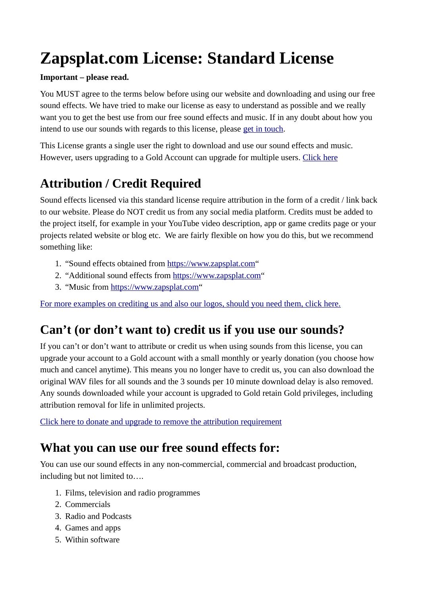# **Zapsplat.com License: Standard License**

#### **Important – please read.**

You MUST agree to the terms below before using our website and downloading and using our free sound effects. We have tried to make our license as easy to understand as possible and we really want you to get the best use from our free sound effects and music. If in any doubt about how you intend to use our sounds with regards to this license, please [get in touch.](https://www.zapsplat.com/contact)

This License grants a single user the right to download and use our sound effects and music. However, users upgrading to a Gold Account can upgrade for multiple users. [Click here](https://www.zapsplat.com/donate-and-upgrade/)

# **Attribution / Credit Required**

Sound effects licensed via this standard license require attribution in the form of a credit / link back to our website. Please do NOT credit us from any social media platform. Credits must be added to the project itself, for example in your YouTube video description, app or game credits page or your projects related website or blog etc. We are fairly flexible on how you do this, but we recommend something like:

- 1. "Sound effects obtained from [https://www.zapsplat.com"](https://www.zapsplat.com/)
- 2. "Additional sound effects from [https://www.zapsplat.com"](https://www.zapsplat.com/)
- 3. "Music from [https://www.zapsplat.com"](https://www.zapsplat.com/)

[For more examples on crediting us and also our logos, should you need them, click here.](https://www.zapsplat.com/how-to-credit-us/)

# **Can't (or don't want to) credit us if you use our sounds?**

If you can't or don't want to attribute or credit us when using sounds from this license, you can upgrade your account to a Gold account with a small monthly or yearly donation (you choose how much and cancel anytime). This means you no longer have to credit us, you can also download the original WAV files for all sounds and the 3 sounds per 10 minute download delay is also removed. Any sounds downloaded while your account is upgraded to Gold retain Gold privileges, including attribution removal for life in unlimited projects.

[Click here to donate and upgrade to remove the attribution requirement](https://www.zapsplat.com/donate-and-upgrade/)

### **What you can use our free sound effects for:**

You can use our sound effects in any non-commercial, commercial and broadcast production, including but not limited to….

- 1. Films, television and radio programmes
- 2. Commercials
- 3. Radio and Podcasts
- 4. Games and apps
- 5. Within software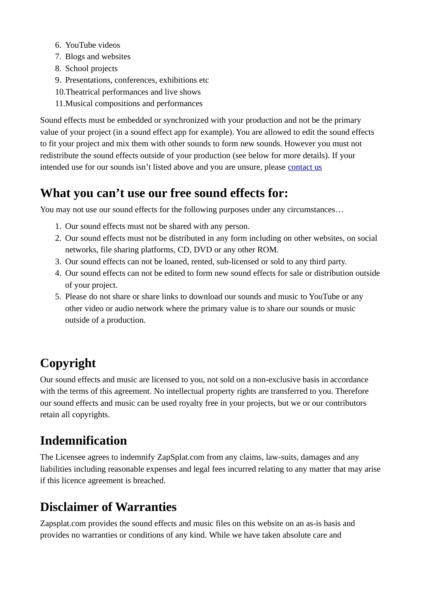- 6. YouTube videos
- 7. Blogs and websites
- 8. School projects
- 9. Presentations, conferences, exhibitions etc
- 10.Theatrical performances and live shows
- 11.Musical compositions and performances

Sound effects must be embedded or synchronized with your production and not be the primary value of your project (in a sound effect app for example). You are allowed to edit the sound effects to fit your project and mix them with other sounds to form new sounds. However you must not redistribute the sound effects outside of your production (see below for more details). If your intended use for our sounds isn't listed above and you are unsure, please [contact us](https://www.zapsplat.com/contact)

### **What you can't use our free sound effects for:**

You may not use our sound effects for the following purposes under any circumstances…

- 1. Our sound effects must not be shared with any person.
- 2. Our sound effects must not be distributed in any form including on other websites, on social networks, file sharing platforms, CD, DVD or any other ROM.
- 3. Our sound effects can not be loaned, rented, sub-licensed or sold to any third party.
- 4. Our sound effects can not be edited to form new sound effects for sale or distribution outside of your project.
- 5. Please do not share or share links to download our sounds and music to YouTube or any other video or audio network where the primary value is to share our sounds or music outside of a production.

# **Copyright**

Our sound effects and music are licensed to you, not sold on a non-exclusive basis in accordance with the terms of this agreement. No intellectual property rights are transferred to you. Therefore our sound effects and music can be used royalty free in your projects, but we or our contributors retain all copyrights.

# **Indemnification**

The Licensee agrees to indemnify ZapSplat.com from any claims, law-suits, damages and any liabilities including reasonable expenses and legal fees incurred relating to any matter that may arise if this licence agreement is breached.

# **Disclaimer of Warranties**

Zapsplat.com provides the sound effects and music files on this website on an as-is basis and provides no warranties or conditions of any kind. While we have taken absolute care and